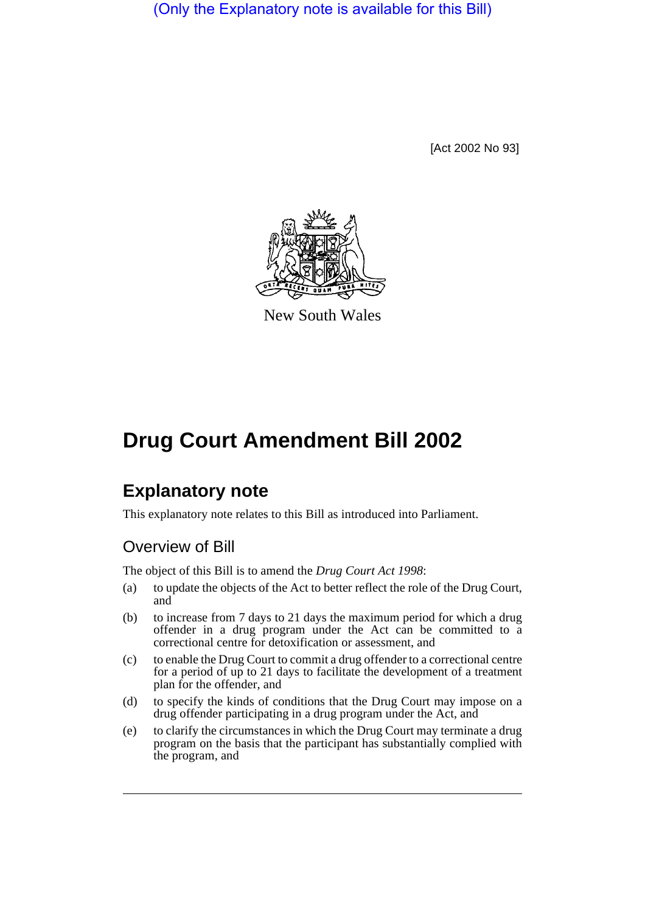(Only the Explanatory note is available for this Bill)

[Act 2002 No 93]



New South Wales

# **Drug Court Amendment Bill 2002**

## **Explanatory note**

This explanatory note relates to this Bill as introduced into Parliament.

### Overview of Bill

The object of this Bill is to amend the *Drug Court Act 1998*:

- (a) to update the objects of the Act to better reflect the role of the Drug Court, and
- (b) to increase from 7 days to 21 days the maximum period for which a drug offender in a drug program under the Act can be committed to a correctional centre for detoxification or assessment, and
- (c) to enable the Drug Court to commit a drug offender to a correctional centre for a period of up to 21 days to facilitate the development of a treatment plan for the offender, and
- (d) to specify the kinds of conditions that the Drug Court may impose on a drug offender participating in a drug program under the Act, and
- (e) to clarify the circumstances in which the Drug Court may terminate a drug program on the basis that the participant has substantially complied with the program, and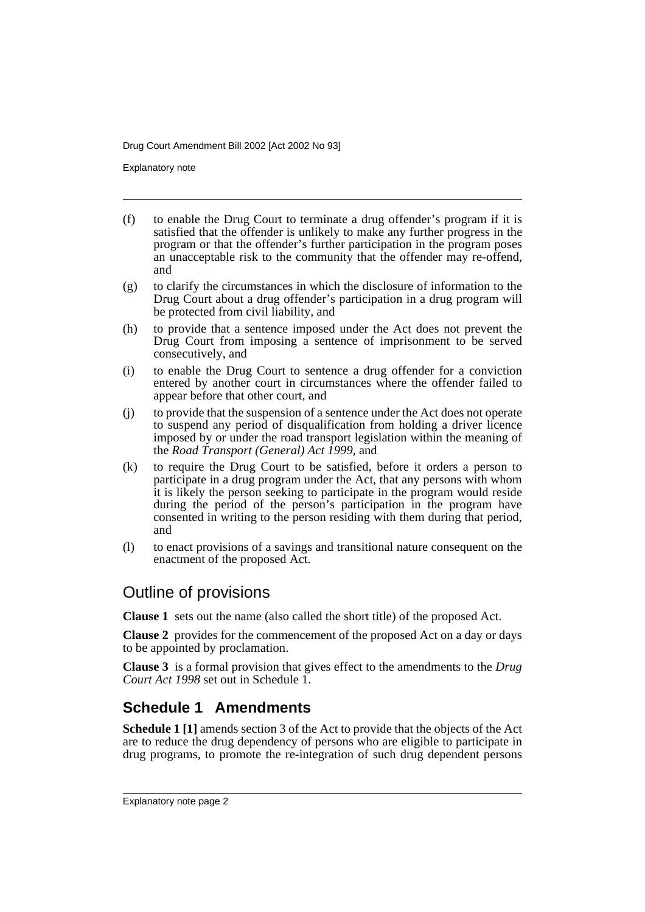Explanatory note

- (f) to enable the Drug Court to terminate a drug offender's program if it is satisfied that the offender is unlikely to make any further progress in the program or that the offender's further participation in the program poses an unacceptable risk to the community that the offender may re-offend, and
- (g) to clarify the circumstances in which the disclosure of information to the Drug Court about a drug offender's participation in a drug program will be protected from civil liability, and
- (h) to provide that a sentence imposed under the Act does not prevent the Drug Court from imposing a sentence of imprisonment to be served consecutively, and
- (i) to enable the Drug Court to sentence a drug offender for a conviction entered by another court in circumstances where the offender failed to appear before that other court, and
- (j) to provide that the suspension of a sentence under the Act does not operate to suspend any period of disqualification from holding a driver licence imposed by or under the road transport legislation within the meaning of the *Road Transport (General) Act 1999*, and
- (k) to require the Drug Court to be satisfied, before it orders a person to participate in a drug program under the Act, that any persons with whom it is likely the person seeking to participate in the program would reside during the period of the person's participation in the program have consented in writing to the person residing with them during that period, and
- (l) to enact provisions of a savings and transitional nature consequent on the enactment of the proposed Act.

#### Outline of provisions

**Clause 1** sets out the name (also called the short title) of the proposed Act.

**Clause 2** provides for the commencement of the proposed Act on a day or days to be appointed by proclamation.

**Clause 3** is a formal provision that gives effect to the amendments to the *Drug Court Act 1998* set out in Schedule 1.

### **Schedule 1 Amendments**

**Schedule 1 [1]** amends section 3 of the Act to provide that the objects of the Act are to reduce the drug dependency of persons who are eligible to participate in drug programs, to promote the re-integration of such drug dependent persons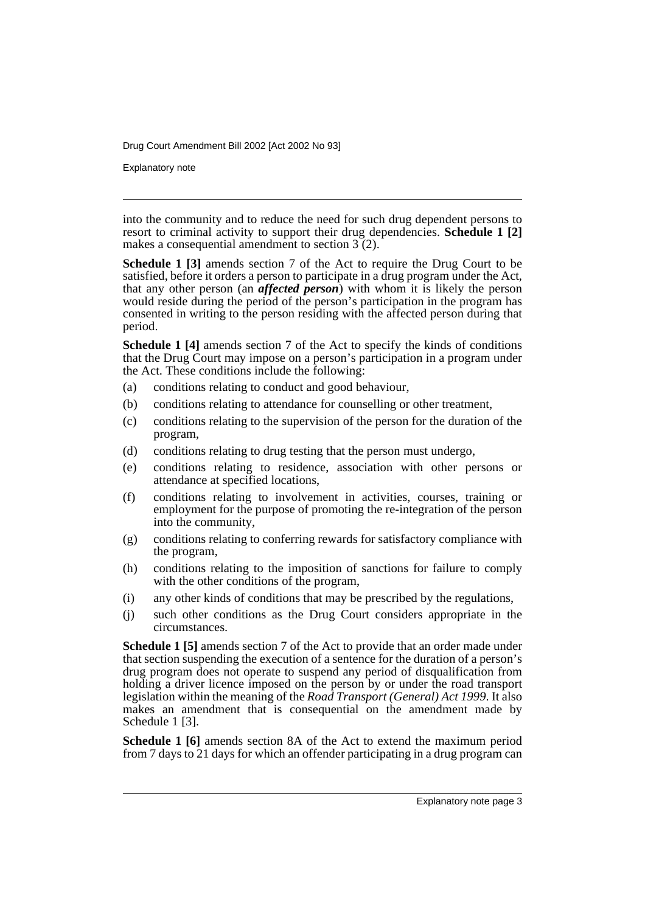Explanatory note

into the community and to reduce the need for such drug dependent persons to resort to criminal activity to support their drug dependencies. **Schedule 1 [2]** makes a consequential amendment to section 3 (2).

**Schedule 1 [3]** amends section 7 of the Act to require the Drug Court to be satisfied, before it orders a person to participate in a drug program under the Act, that any other person (an *affected person*) with whom it is likely the person would reside during the period of the person's participation in the program has consented in writing to the person residing with the affected person during that period.

**Schedule 1 [4]** amends section 7 of the Act to specify the kinds of conditions that the Drug Court may impose on a person's participation in a program under the Act. These conditions include the following:

- (a) conditions relating to conduct and good behaviour,
- (b) conditions relating to attendance for counselling or other treatment,
- (c) conditions relating to the supervision of the person for the duration of the program,
- (d) conditions relating to drug testing that the person must undergo,
- (e) conditions relating to residence, association with other persons or attendance at specified locations,
- (f) conditions relating to involvement in activities, courses, training or employment for the purpose of promoting the re-integration of the person into the community,
- (g) conditions relating to conferring rewards for satisfactory compliance with the program,
- (h) conditions relating to the imposition of sanctions for failure to comply with the other conditions of the program,
- (i) any other kinds of conditions that may be prescribed by the regulations,
- (j) such other conditions as the Drug Court considers appropriate in the circumstances.

**Schedule 1 [5]** amends section 7 of the Act to provide that an order made under that section suspending the execution of a sentence for the duration of a person's drug program does not operate to suspend any period of disqualification from holding a driver licence imposed on the person by or under the road transport legislation within the meaning of the *Road Transport (General) Act 1999*. It also makes an amendment that is consequential on the amendment made by Schedule 1<sup>[3]</sup>.

**Schedule 1 [6]** amends section 8A of the Act to extend the maximum period from 7 days to 21 days for which an offender participating in a drug program can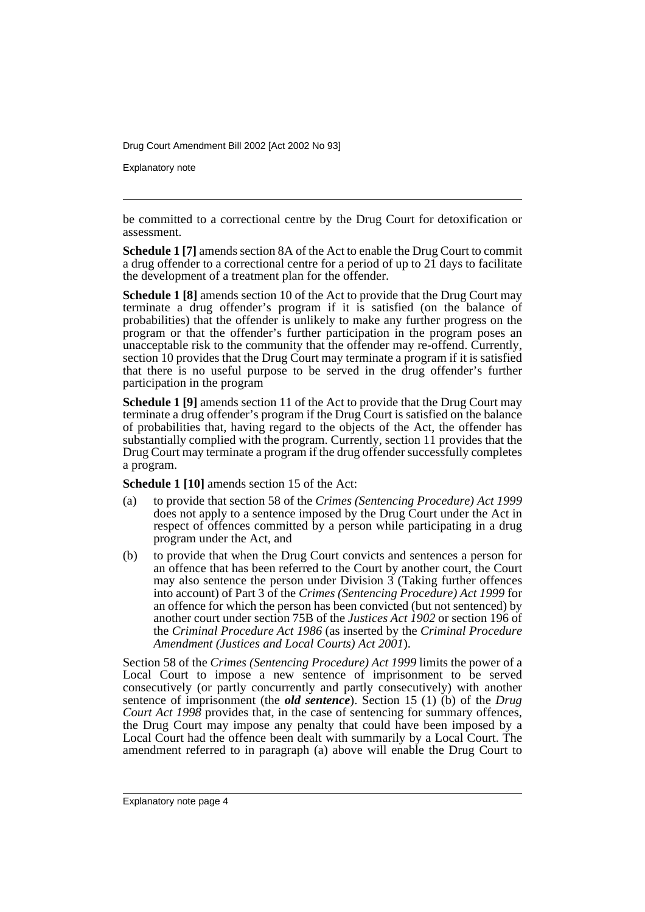Explanatory note

be committed to a correctional centre by the Drug Court for detoxification or assessment.

**Schedule 1 [7]** amends section 8A of the Act to enable the Drug Court to commit a drug offender to a correctional centre for a period of up to  $2\bar{1}$  days to facilitate the development of a treatment plan for the offender.

**Schedule 1 [8]** amends section 10 of the Act to provide that the Drug Court may terminate a drug offender's program if it is satisfied (on the balance of probabilities) that the offender is unlikely to make any further progress on the program or that the offender's further participation in the program poses an unacceptable risk to the community that the offender may re-offend. Currently, section 10 provides that the Drug Court may terminate a program if it is satisfied that there is no useful purpose to be served in the drug offender's further participation in the program

**Schedule 1 [9]** amends section 11 of the Act to provide that the Drug Court may terminate a drug offender's program if the Drug Court is satisfied on the balance of probabilities that, having regard to the objects of the Act, the offender has substantially complied with the program. Currently, section 11 provides that the Drug Court may terminate a program if the drug offender successfully completes a program.

**Schedule 1 [10]** amends section 15 of the Act:

- (a) to provide that section 58 of the *Crimes (Sentencing Procedure) Act 1999* does not apply to a sentence imposed by the Drug Court under the Act in respect of offences committed by a person while participating in a drug program under the Act, and
- (b) to provide that when the Drug Court convicts and sentences a person for an offence that has been referred to the Court by another court, the Court may also sentence the person under Division  $\tilde{3}$  (Taking further offences into account) of Part 3 of the *Crimes (Sentencing Procedure) Act 1999* for an offence for which the person has been convicted (but not sentenced) by another court under section 75B of the *Justices Act 1902* or section 196 of the *Criminal Procedure Act 1986* (as inserted by the *Criminal Procedure Amendment (Justices and Local Courts) Act 2001*).

Section 58 of the *Crimes (Sentencing Procedure) Act 1999* limits the power of a Local Court to impose a new sentence of imprisonment to be served consecutively (or partly concurrently and partly consecutively) with another sentence of imprisonment (the *old sentence*). Section 15 (1) (b) of the *Drug Court Act 1998* provides that, in the case of sentencing for summary offences, the Drug Court may impose any penalty that could have been imposed by a Local Court had the offence been dealt with summarily by a Local Court. The amendment referred to in paragraph (a) above will enable the Drug Court to